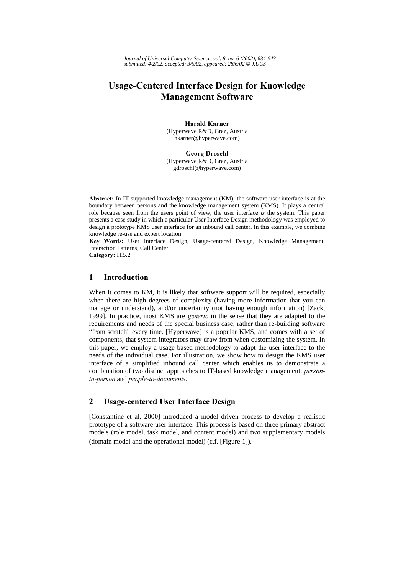*Journal of Universal Computer Science, vol. 8, no. 6 (2002), 634-643 submitted: 4/2/02, accepted: 3/5/02, appeared: 28/6/02 J.UCS*

# Usage-Centered Interface Design for Knowledge **Management Software**

**Harald Karner** (Hyperwave R&D, Graz, Austria hkarner@hyperwave.com)

**Georg Droschl** (Hyperwave R&D, Graz, Austria gdroschl@hyperwave.com)

Abstract: In IT-supported knowledge management (KM), the software user interface is at the boundary between persons and the knowledge management system (KMS). It plays a central role because seen from the users point of view, the user interface is the system. This paper presents a case study in which a particular User Interface Design methodology was employed to design a prototype KMS user interface for an inbound call center. In this example, we combine knowledge re-use and expert location.

Key Words: User Interface Design, Usage-centered Design, Knowledge Management, Interaction Patterns, Call Center

Category: H.5.2

# 1 Introduction

When it comes to KM, it is likely that software support will be required, especially when there are high degrees of complexity (having more information that you can manage or understand), and/or uncertainty (not having enough information) [Zack, 1999]. In practice, most KMS are *generic* in the sense that they are adapted to the requirements and needs of the special business case, rather than re-building software "from scratch" every time. [Hyperwave] is a popular KMS, and comes with a set of components, that system integrators may draw from when customizing the system. In this paper, we employ a usage based methodology to adapt the user interface to the needs of the individual case. For illustration, we show how to design the KMS user interface of a simplified inbound call center which enables us to demonstrate a combination of two distinct approaches to IT-based knowledge management: personto-person and people-to-documents.

## 2 Usage-centered User Interface Design

[Constantine et al, 2000] introduced a model driven process to develop a realistic prototype of a software user interface. This process is based on three primary abstract models (role model, task model, and content model) and two supplementary models (domain model and the operational model) (c.f. [Figure 1]).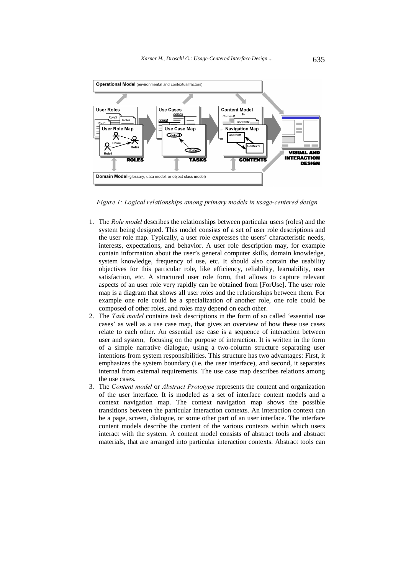

Figure 1: Logical relationships among primary models in usage-centered design

- 1. The *Role model* describes the relationships between particular users (roles) and the system being designed. This model consists of a set of user role descriptions and the user role map. Typically, a user role expresses the users' characteristic needs, interests, expectations, and behavior. A user role description may, for example contain information about the user's general computer skills, domain knowledge, system knowledge, frequency of use, etc. It should also contain the usability objectives for this particular role, like efficiency, reliability, learnability, user satisfaction, etc. A structured user role form, that allows to capture relevant aspects of an user role very rapidly can be obtained from [ForUse]. The user role map is a diagram that shows all user roles and the relationships between them. For example one role could be a specialization of another role, one role could be composed of other roles, and roles may depend on each other.
- 2. The Task model contains task descriptions in the form of so called 'essential use cases' as well as a use case map, that gives an overview of how these use cases relate to each other. An essential use case is a sequence of interaction between user and system, focusing on the purpose of interaction. It is written in the form of a simple narrative dialogue, using a two-column structure separating user intentions from system responsibilities. This structure has two advantages: First, it emphasizes the system boundary (i.e. the user interface), and second, it separates internal from external requirements. The use case map describes relations among the use cases.
- 3. The Content model or Abstract Prototype represents the content and organization of the user interface. It is modeled as a set of interface content models and a context navigation map. The context navigation map shows the possible transitions between the particular interaction contexts. An interaction context can be a page, screen, dialogue, or some other part of an user interface. The interface content models describe the content of the various contexts within which users interact with the system. A content model consists of abstract tools and abstract materials, that are arranged into particular interaction contexts. Abstract tools can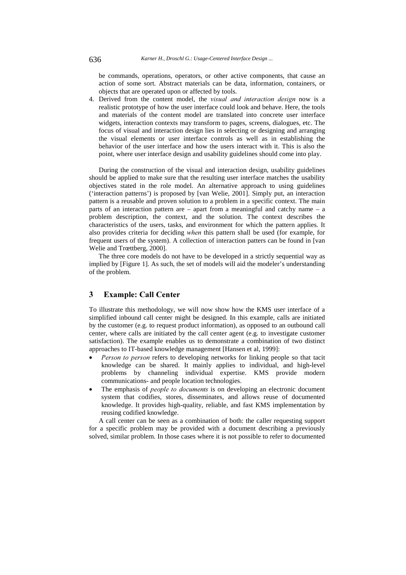be commands, operations, operators, or other active components, that cause an action of some sort. Abstract materials can be data, information, containers, or objects that are operated upon or affected by tools.

4. Derived from the content model, the visual and interaction design now is a realistic prototype of how the user interface could look and behave. Here, the tools and materials of the content model are translated into concrete user interface widgets, interaction contexts may transform to pages, screens, dialogues, etc. The focus of visual and interaction design lies in selecting or designing and arranging the visual elements or user interface controls as well as in establishing the behavior of the user interface and how the users interact with it. This is also the point, where user interface design and usability guidelines should come into play.

During the construction of the visual and interaction design, usability guidelines should be applied to make sure that the resulting user interface matches the usability objectives stated in the role model. An alternative approach to using guidelines ('interaction patterns') is proposed by [van Welie, 2001]. Simply put, an interaction pattern is a reusable and proven solution to a problem in a specific context. The main parts of an interaction pattern are – apart from a meaningful and catchy name – a problem description, the context, and the solution. The context describes the characteristics of the users, tasks, and environment for which the pattern applies. It also provides criteria for deciding when this pattern shall be used (for example, for frequent users of the system). A collection of interaction patters can be found in [van Welie and Trœttberg, 2000].

The three core models do not have to be developed in a strictly sequential way as implied by [Figure 1]. As such, the set of models will aid the modeler's understanding of the problem.

## 3 Example: Call Center

To illustrate this methodology, we will now show how the KMS user interface of a simplified inbound call center might be designed. In this example, calls are initiated by the customer (e.g. to request product information), as opposed to an outbound call center, where calls are initiated by the call center agent (e.g. to investigate customer satisfaction). The example enables us to demonstrate a combination of two distinct approaches to IT-based knowledge management [Hansen et al, 1999]:

- Person to person refers to developing networks for linking people so that tacit knowledge can be shared. It mainly applies to individual, and high-level problems by channeling individual expertise. KMS provide modern communications- and people location technologies.
- The emphasis of *people to documents* is on developing an electronic document system that codifies, stores, disseminates, and allows reuse of documented knowledge. It provides high-quality, reliable, and fast KMS implementation by reusing codified knowledge.

A call center can be seen as a combination of both: the caller requesting support for a specific problem may be provided with a document describing a previously solved, similar problem. In those cases where it is not possible to refer to documented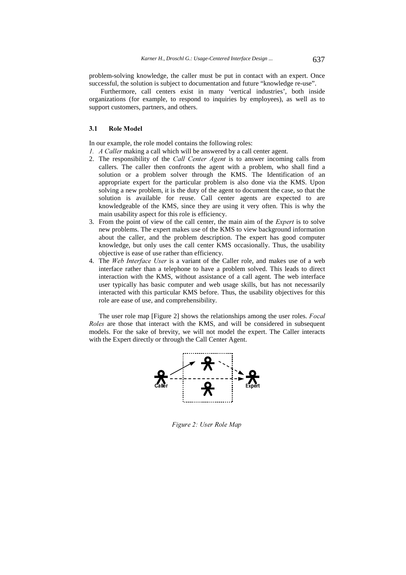problem-solving knowledge, the caller must be put in contact with an expert. Once successful, the solution is subject to documentation and future "knowledge re-use".

Furthermore, call centers exist in many 'vertical industries', both inside organizations (for example, to respond to inquiries by employees), as well as to support customers, partners, and others.

#### 3.1 Role Model

In our example, the role model contains the following roles:

- 1. A Caller making a call which will be answered by a call center agent.
- 2. The responsibility of the *Call Center Agent* is to answer incoming calls from callers. The caller then confronts the agent with a problem, who shall find a solution or a problem solver through the KMS. The Identification of an appropriate expert for the particular problem is also done via the KMS. Upon solving a new problem, it is the duty of the agent to document the case, so that the solution is available for reuse. Call center agents are expected to are knowledgeable of the KMS, since they are using it very often. This is why the main usability aspect for this role is efficiency.
- 3. From the point of view of the call center, the main aim of the  $Expert$  is to solve new problems. The expert makes use of the KMS to view background information about the caller, and the problem description. The expert has good computer knowledge, but only uses the call center KMS occasionally. Thus, the usability objective is ease of use rather than efficiency.
- 4. The Web Interface User is a variant of the Caller role, and makes use of a web interface rather than a telephone to have a problem solved. This leads to direct interaction with the KMS, without assistance of a call agent. The web interface user typically has basic computer and web usage skills, but has not necessarily interacted with this particular KMS before. Thus, the usability objectives for this role are ease of use, and comprehensibility.

The user role map [Figure 2] shows the relationships among the user roles. *Focal* Roles are those that interact with the KMS, and will be considered in subsequent models. For the sake of brevity, we will not model the expert. The Caller interacts with the Expert directly or through the Call Center Agent.



Figure 2: User Role Map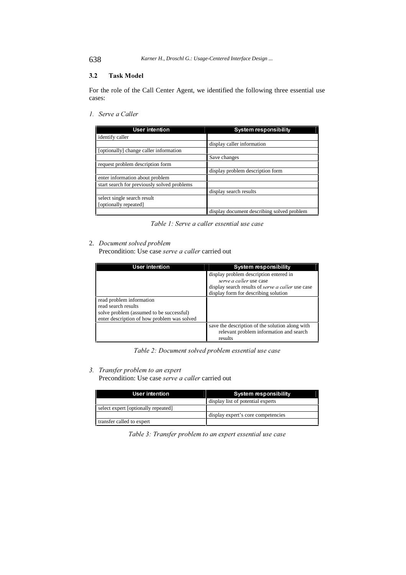638 *Karner H., Droschl G.: Usage-Centered Interface Design ...*

### 3.2 Task Model

For the role of the Call Center Agent, we identified the following three essential use cases:

1. Serve a Caller

| User intention                              | System responsibility                      |
|---------------------------------------------|--------------------------------------------|
| identify caller                             |                                            |
|                                             | display caller information                 |
| [optionally] change caller information      |                                            |
|                                             | Save changes                               |
| request problem description form            |                                            |
|                                             | display problem description form           |
| enter information about problem             |                                            |
| start search for previously solved problems |                                            |
|                                             | display search results                     |
| select single search result                 |                                            |
| [optionally repeated]                       |                                            |
|                                             | display document describing solved problem |

Table 1: Serve a caller essential use case

#### 2. Document solved problem

Precondition: Use case serve a caller carried out

| User intention                              | System responsibility                             |
|---------------------------------------------|---------------------------------------------------|
|                                             | display problem description entered in            |
|                                             | serve a caller use case                           |
|                                             | display search results of serve a caller use case |
|                                             | display form for describing solution              |
| read problem information                    |                                                   |
| read search results                         |                                                   |
| solve problem (assumed to be successful)    |                                                   |
| enter description of how problem was solved |                                                   |
|                                             | save the description of the solution along with   |
|                                             | relevant problem information and search           |
|                                             | results                                           |

Table 2: Document solved problem essential use case

#### 3. Transfer problem to an expert

Precondition: Use case serve a caller carried out

| <b>User intention</b>               | System responsibility              |
|-------------------------------------|------------------------------------|
|                                     | display list of potential experts  |
| select expert [optionally repeated] |                                    |
|                                     | display expert's core competencies |
| transfer called to expert           |                                    |

Table 3: Transfer problem to an expert essential use case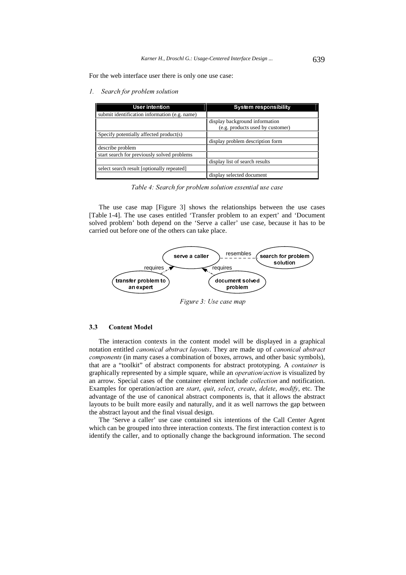For the web interface user there is only one use case:

1. Search for problem solution

| <b>User intention</b>                         | System responsibility            |
|-----------------------------------------------|----------------------------------|
| submit identification information (e.g. name) |                                  |
|                                               | display background information   |
|                                               | (e.g. products used by customer) |
| Specify potentially affected product(s)       |                                  |
|                                               | display problem description form |
| describe problem                              |                                  |
| start search for previously solved problems   |                                  |
|                                               | display list of search results   |
| select search result [optionally repeated]    |                                  |
|                                               | display selected document        |

Table 4: Search for problem solution essential use case

The use case map [Figure 3] shows the relationships between the use cases [Table 1-4]. The use cases entitled 'Transfer problem to an expert' and 'Document solved problem' both depend on the 'Serve a caller' use case, because it has to be carried out before one of the others can take place.



Figure 3: Use case map

## 3.3 Content Model

The interaction contexts in the content model will be displayed in a graphical notation entitled *canonical abstract layouts*. They are made up of *canonical abstract* components (in many cases a combination of boxes, arrows, and other basic symbols), that are a "toolkit" of abstract components for abstract prototyping. A *container* is graphically represented by a simple square, while an *operation/action* is visualized by an arrow. Special cases of the container element include *collection* and notification. Examples for operation/action are start, quit, select, create, delete, modify, etc. The advantage of the use of canonical abstract components is, that it allows the abstract layouts to be built more easily and naturally, and it as well narrows the gap between the abstract layout and the final visual design.

The 'Serve a caller' use case contained six intentions of the Call Center Agent which can be grouped into three interaction contexts. The first interaction context is to identify the caller, and to optionally change the background information. The second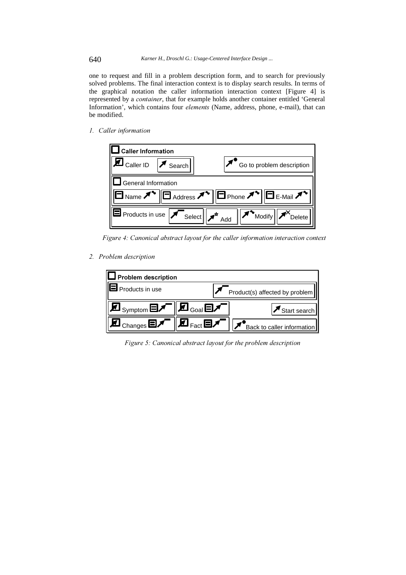one to request and fill in a problem description form, and to search for previously solved problems. The final interaction context is to display search results. In terms of the graphical notation the caller information interaction context [Figure 4] is represented by a *container*, that for example holds another container entitled 'General Information', which contains four *elements* (Name, address, phone, e-mail), that can be modified.

1. Caller information



Figure 4: Canonical abstract layout for the caller information interaction context

2. Problem description



Figure 5: Canonical abstract layout for the problem description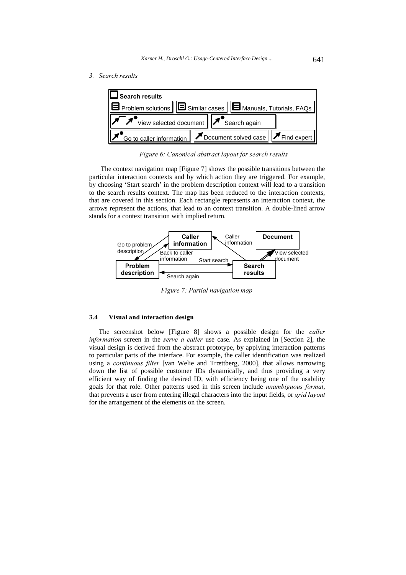3. Search results



Figure 6: Canonical abstract layout for search results

The context navigation map [Figure 7] shows the possible transitions between the particular interaction contexts and by which action they are triggered. For example, by choosing 'Start search' in the problem description context will lead to a transition to the search results context. The map has been reduced to the interaction contexts, that are covered in this section. Each rectangle represents an interaction context, the arrows represent the actions, that lead to an context transition. A double-lined arrow stands for a context transition with implied return.



Figure 7: Partial navigation map

#### 3.4 Visual and interaction design

The screenshot below [Figure 8] shows a possible design for the *caller* information screen in the serve a caller use case. As explained in [Section 2], the visual design is derived from the abstract prototype, by applying interaction patterns to particular parts of the interface. For example, the caller identification was realized using a *continuous filter* [van Welie and Trœttberg, 2000], that allows narrowing down the list of possible customer IDs dynamically, and thus providing a very efficient way of finding the desired ID, with efficiency being one of the usability goals for that role. Other patterns used in this screen include *unambiguous format*, that prevents a user from entering illegal characters into the input fields, or grid layout for the arrangement of the elements on the screen.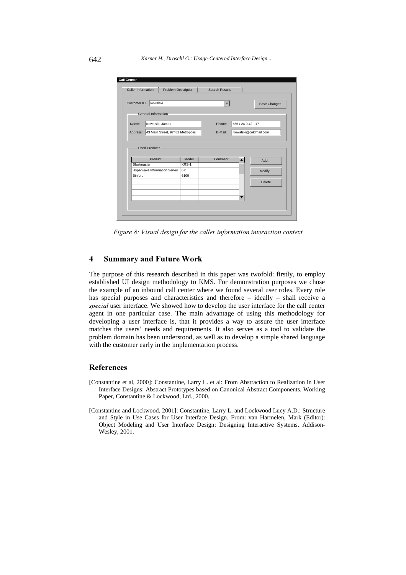

Figure 8: Visual design for the caller information interaction context

## 4 Summary and Future Work

The purpose of this research described in this paper was twofold: firstly, to employ established UI design methodology to KMS. For demonstration purposes we chose the example of an inbound call center where we found several user roles. Every role has special purposes and characteristics and therefore – ideally – shall receive a special user interface. We showed how to develop the user interface for the call center agent in one particular case. The main advantage of using this methodology for developing a user interface is, that it provides a way to assure the user interface matches the users' needs and requirements. It also serves as a tool to validate the problem domain has been understood, as well as to develop a simple shared language with the customer early in the implementation process.

## References

- [Constantine et al, 2000]: Constantine, Larry L. et al: From Abstraction to Realization in User Interface Designs: Abstract Prototypes based on Canonical Abstract Components. Working Paper, Constantine & Lockwood, Ltd., 2000.
- [Constantine and Lockwood, 2001]: Constantine, Larry L. and Lockwood Lucy A.D.: Structure and Style in Use Cases for User Interface Design. From: van Harmelen, Mark (Editor): Object Modeling and User Interface Design: Designing Interactive Systems. Addison-Wesley, 2001.